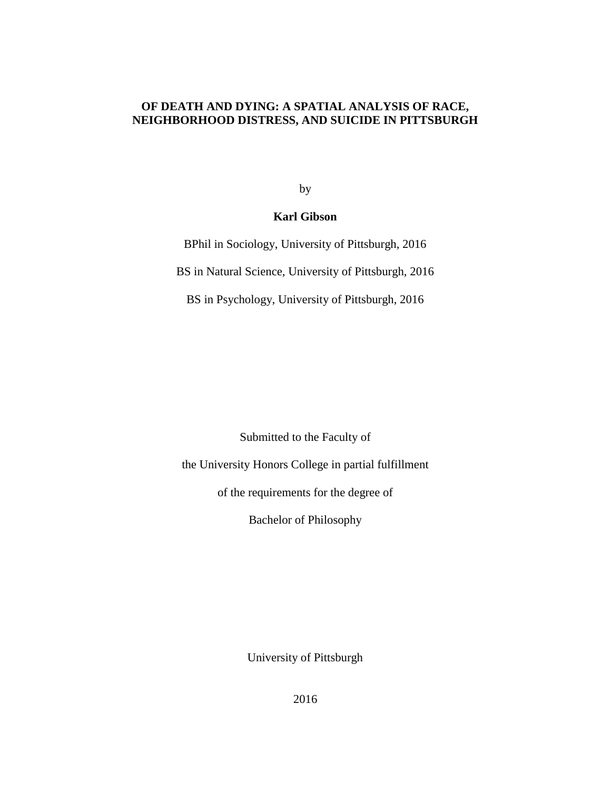# **OF DEATH AND DYING: A SPATIAL ANALYSIS OF RACE, NEIGHBORHOOD DISTRESS, AND SUICIDE IN PITTSBURGH**

by

# **Karl Gibson**

BPhil in Sociology, University of Pittsburgh, 2016 BS in Natural Science, University of Pittsburgh, 2016 BS in Psychology, University of Pittsburgh, 2016

Submitted to the Faculty of

the University Honors College in partial fulfillment

of the requirements for the degree of

Bachelor of Philosophy

University of Pittsburgh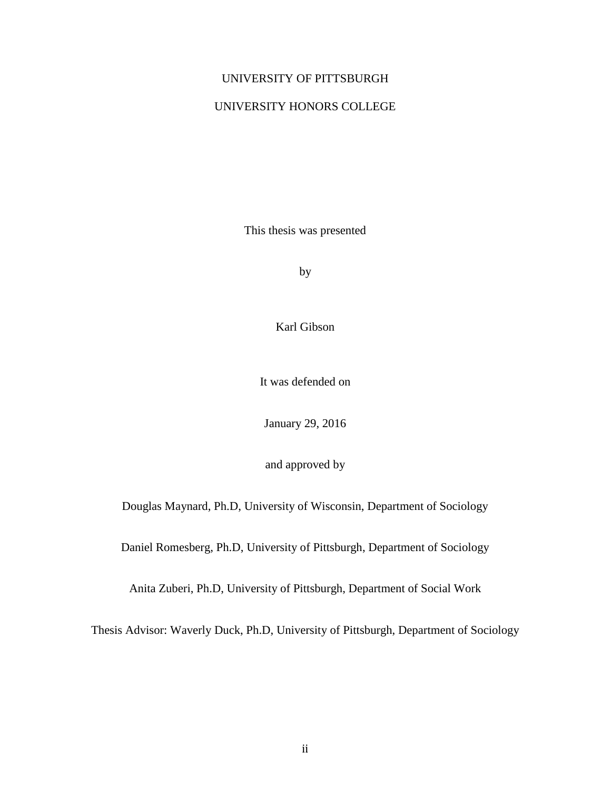# UNIVERSITY OF PITTSBURGH

# UNIVERSITY HONORS COLLEGE

This thesis was presented

by

Karl Gibson

It was defended on

January 29, 2016

and approved by

Douglas Maynard, Ph.D, University of Wisconsin, Department of Sociology

Daniel Romesberg, Ph.D, University of Pittsburgh, Department of Sociology

Anita Zuberi, Ph.D, University of Pittsburgh, Department of Social Work

Thesis Advisor: Waverly Duck, Ph.D, University of Pittsburgh, Department of Sociology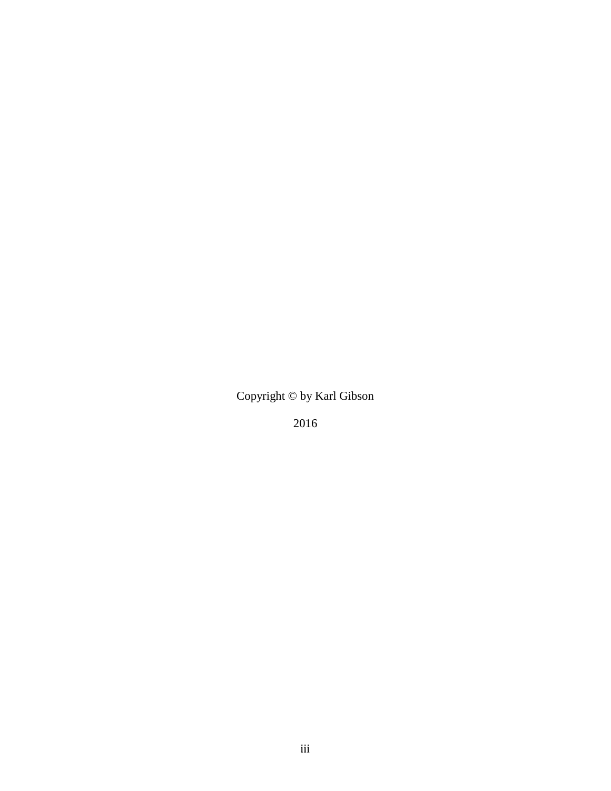Copyright © by Karl Gibson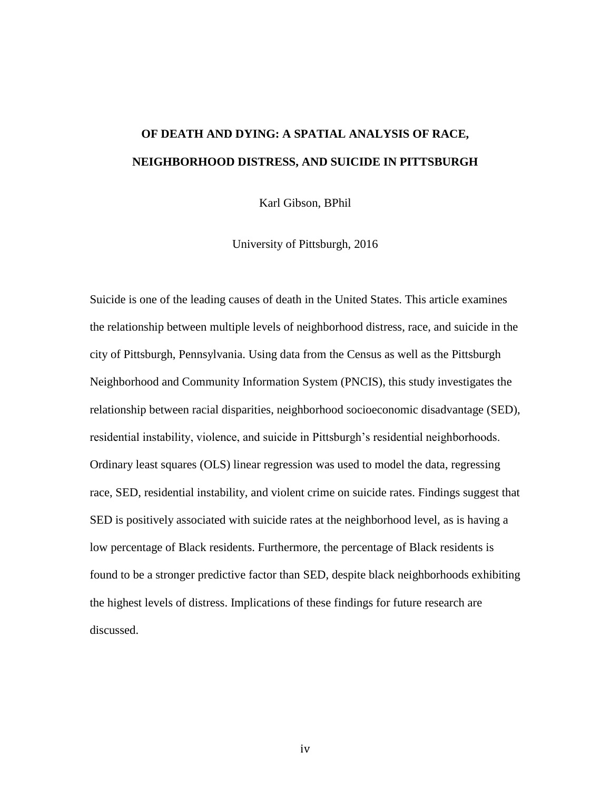# **OF DEATH AND DYING: A SPATIAL ANALYSIS OF RACE, NEIGHBORHOOD DISTRESS, AND SUICIDE IN PITTSBURGH**

Karl Gibson, BPhil

University of Pittsburgh, 2016

Suicide is one of the leading causes of death in the United States. This article examines the relationship between multiple levels of neighborhood distress, race, and suicide in the city of Pittsburgh, Pennsylvania. Using data from the Census as well as the Pittsburgh Neighborhood and Community Information System (PNCIS), this study investigates the relationship between racial disparities, neighborhood socioeconomic disadvantage (SED), residential instability, violence, and suicide in Pittsburgh's residential neighborhoods. Ordinary least squares (OLS) linear regression was used to model the data, regressing race, SED, residential instability, and violent crime on suicide rates. Findings suggest that SED is positively associated with suicide rates at the neighborhood level, as is having a low percentage of Black residents. Furthermore, the percentage of Black residents is found to be a stronger predictive factor than SED, despite black neighborhoods exhibiting the highest levels of distress. Implications of these findings for future research are discussed.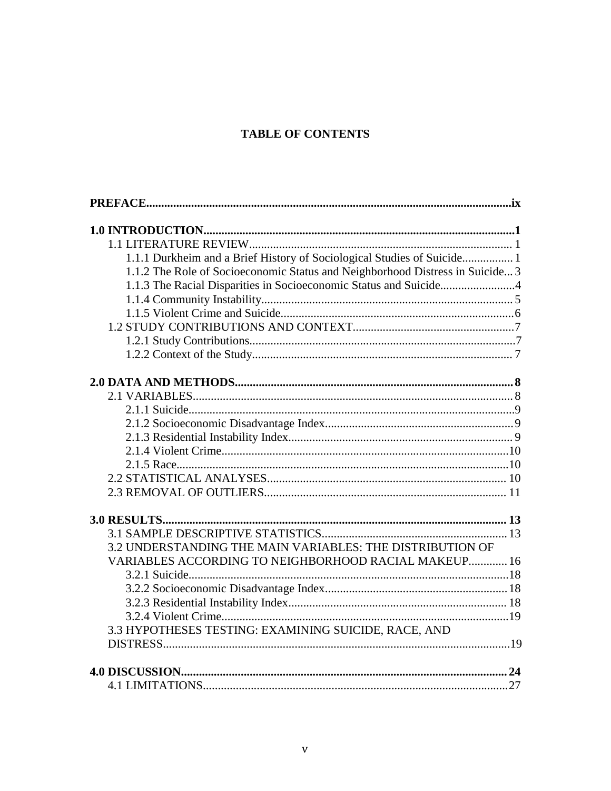# **TABLE OF CONTENTS**

| 1.1.1 Durkheim and a Brief History of Sociological Studies of Suicide 1       |
|-------------------------------------------------------------------------------|
| 1.1.2 The Role of Socioeconomic Status and Neighborhood Distress in Suicide 3 |
| 1.1.3 The Racial Disparities in Socioeconomic Status and Suicide4             |
|                                                                               |
|                                                                               |
|                                                                               |
|                                                                               |
|                                                                               |
|                                                                               |
|                                                                               |
|                                                                               |
|                                                                               |
|                                                                               |
|                                                                               |
|                                                                               |
|                                                                               |
|                                                                               |
|                                                                               |
|                                                                               |
| 3.2 UNDERSTANDING THE MAIN VARIABLES: THE DISTRIBUTION OF                     |
| <b>VARIABLES ACCORDING TO NEIGHBORHOOD RACIAL MAKEUP 16</b>                   |
|                                                                               |
|                                                                               |
|                                                                               |
|                                                                               |
| 3.3 HYPOTHESES TESTING: EXAMINING SUICIDE, RACE, AND                          |
|                                                                               |
|                                                                               |
|                                                                               |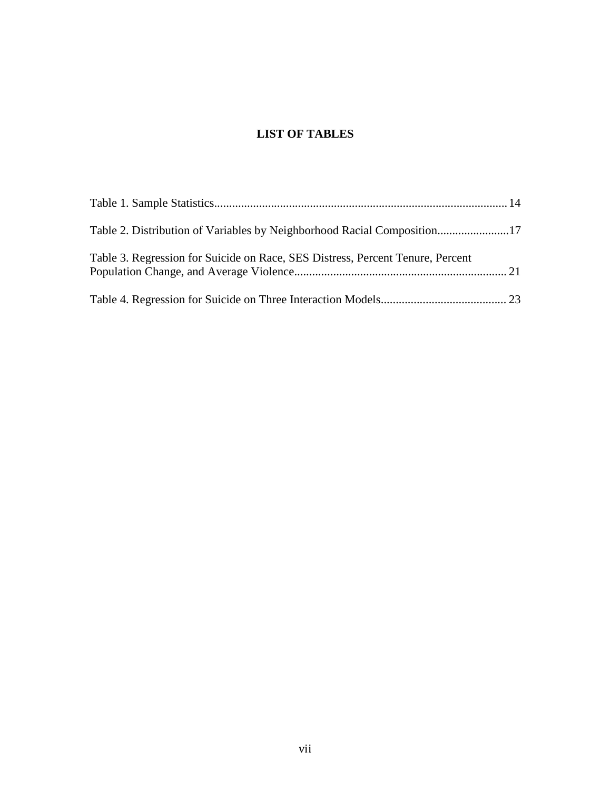# **LIST OF TABLES**

| Table 3. Regression for Suicide on Race, SES Distress, Percent Tenure, Percent |  |
|--------------------------------------------------------------------------------|--|
|                                                                                |  |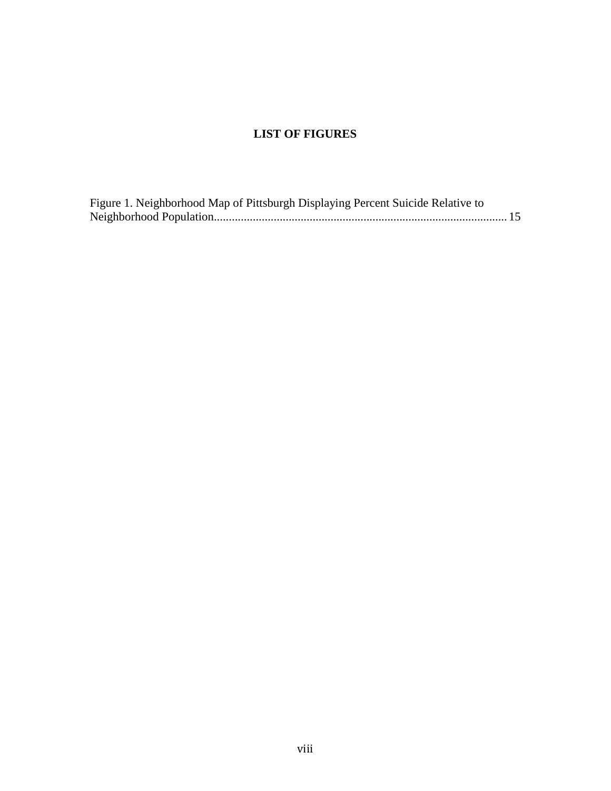# **LIST OF FIGURES**

| Figure 1. Neighborhood Map of Pittsburgh Displaying Percent Suicide Relative to |  |
|---------------------------------------------------------------------------------|--|
|                                                                                 |  |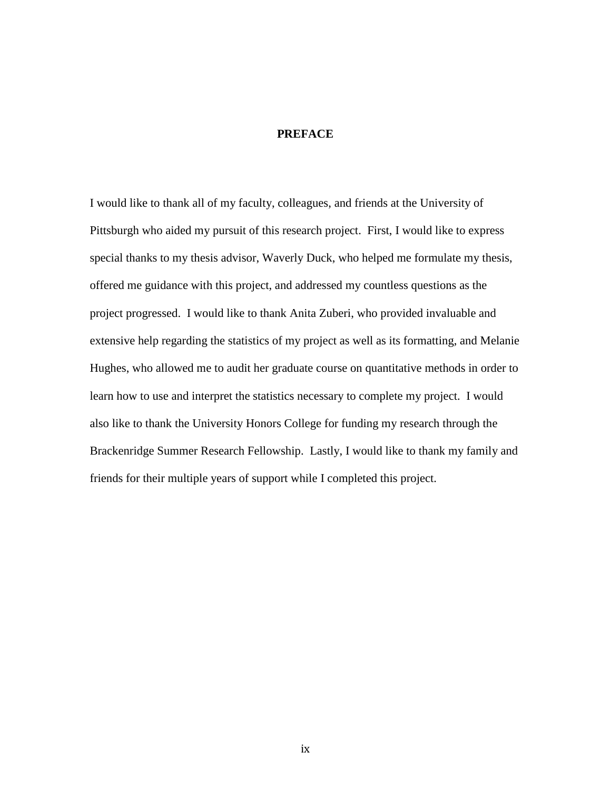# **PREFACE**

<span id="page-8-0"></span>I would like to thank all of my faculty, colleagues, and friends at the University of Pittsburgh who aided my pursuit of this research project. First, I would like to express special thanks to my thesis advisor, Waverly Duck, who helped me formulate my thesis, offered me guidance with this project, and addressed my countless questions as the project progressed. I would like to thank Anita Zuberi, who provided invaluable and extensive help regarding the statistics of my project as well as its formatting, and Melanie Hughes, who allowed me to audit her graduate course on quantitative methods in order to learn how to use and interpret the statistics necessary to complete my project. I would also like to thank the University Honors College for funding my research through the Brackenridge Summer Research Fellowship. Lastly, I would like to thank my family and friends for their multiple years of support while I completed this project.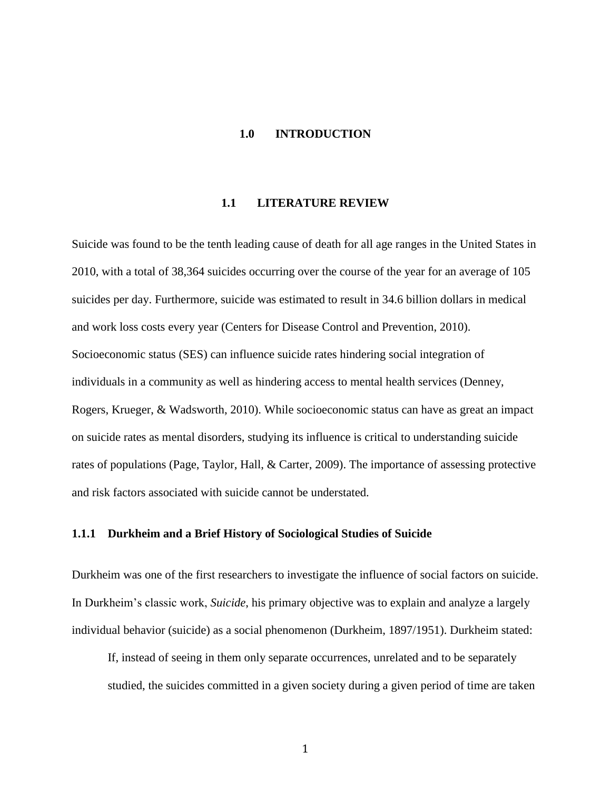# **1.0 INTRODUCTION**

#### **1.1 LITERATURE REVIEW**

<span id="page-9-0"></span>Suicide was found to be the tenth leading cause of death for all age ranges in the United States in 2010, with a total of 38,364 suicides occurring over the course of the year for an average of 105 suicides per day. Furthermore, suicide was estimated to result in 34.6 billion dollars in medical and work loss costs every year (Centers for Disease Control and Prevention, 2010). Socioeconomic status (SES) can influence suicide rates hindering social integration of individuals in a community as well as hindering access to mental health services (Denney, Rogers, Krueger, & Wadsworth, 2010). While socioeconomic status can have as great an impact on suicide rates as mental disorders, studying its influence is critical to understanding suicide rates of populations (Page, Taylor, Hall, & Carter, 2009). The importance of assessing protective and risk factors associated with suicide cannot be understated.

# **1.1.1 Durkheim and a Brief History of Sociological Studies of Suicide**

Durkheim was one of the first researchers to investigate the influence of social factors on suicide. In Durkheim's classic work, *Suicide*, his primary objective was to explain and analyze a largely individual behavior (suicide) as a social phenomenon (Durkheim, 1897/1951). Durkheim stated:

If, instead of seeing in them only separate occurrences, unrelated and to be separately studied, the suicides committed in a given society during a given period of time are taken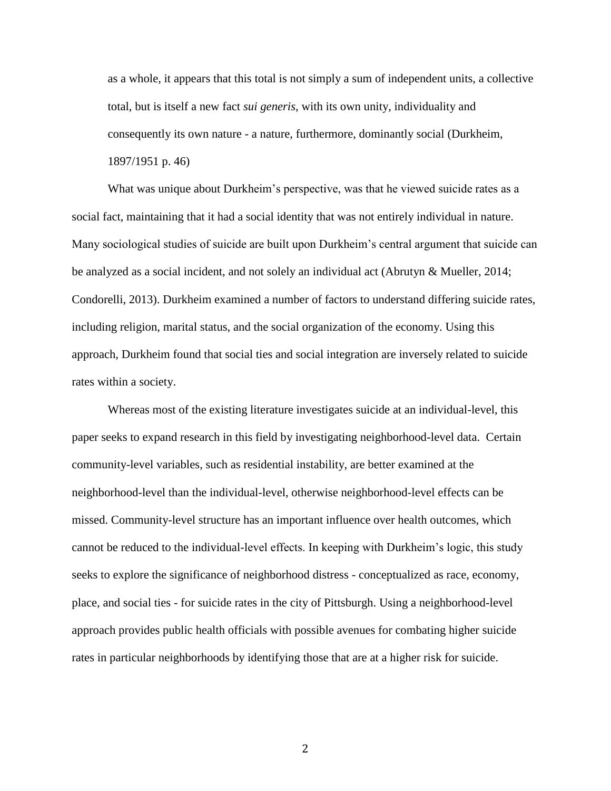as a whole, it appears that this total is not simply a sum of independent units, a collective total, but is itself a new fact *sui generis*, with its own unity, individuality and consequently its own nature - a nature, furthermore, dominantly social (Durkheim, 1897/1951 p. 46)

What was unique about Durkheim's perspective, was that he viewed suicide rates as a social fact, maintaining that it had a social identity that was not entirely individual in nature. Many sociological studies of suicide are built upon Durkheim's central argument that suicide can be analyzed as a social incident, and not solely an individual act (Abrutyn & Mueller, 2014; Condorelli, 2013). Durkheim examined a number of factors to understand differing suicide rates, including religion, marital status, and the social organization of the economy. Using this approach, Durkheim found that social ties and social integration are inversely related to suicide rates within a society.

Whereas most of the existing literature investigates suicide at an individual-level, this paper seeks to expand research in this field by investigating neighborhood-level data. Certain community-level variables, such as residential instability, are better examined at the neighborhood-level than the individual-level, otherwise neighborhood-level effects can be missed. Community-level structure has an important influence over health outcomes, which cannot be reduced to the individual-level effects. In keeping with Durkheim's logic, this study seeks to explore the significance of neighborhood distress - conceptualized as race, economy, place, and social ties - for suicide rates in the city of Pittsburgh. Using a neighborhood-level approach provides public health officials with possible avenues for combating higher suicide rates in particular neighborhoods by identifying those that are at a higher risk for suicide.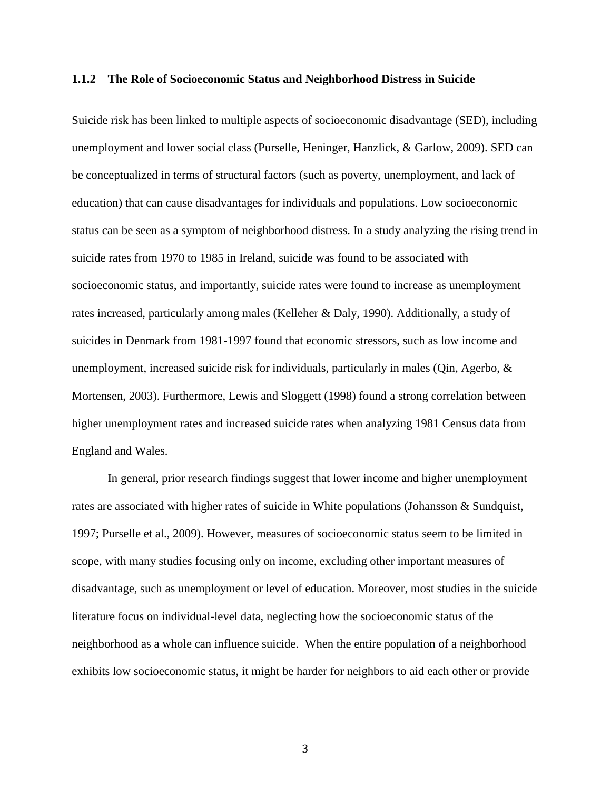#### <span id="page-11-0"></span>**1.1.2 The Role of Socioeconomic Status and Neighborhood Distress in Suicide**

Suicide risk has been linked to multiple aspects of socioeconomic disadvantage (SED), including unemployment and lower social class (Purselle, Heninger, Hanzlick, & Garlow, 2009). SED can be conceptualized in terms of structural factors (such as poverty, unemployment, and lack of education) that can cause disadvantages for individuals and populations. Low socioeconomic status can be seen as a symptom of neighborhood distress. In a study analyzing the rising trend in suicide rates from 1970 to 1985 in Ireland, suicide was found to be associated with socioeconomic status, and importantly, suicide rates were found to increase as unemployment rates increased, particularly among males (Kelleher & Daly, 1990). Additionally, a study of suicides in Denmark from 1981-1997 found that economic stressors, such as low income and unemployment, increased suicide risk for individuals, particularly in males (Qin, Agerbo,  $\&$ Mortensen, 2003). Furthermore, Lewis and Sloggett (1998) found a strong correlation between higher unemployment rates and increased suicide rates when analyzing 1981 Census data from England and Wales.

In general, prior research findings suggest that lower income and higher unemployment rates are associated with higher rates of suicide in White populations (Johansson & Sundquist, 1997; Purselle et al., 2009). However, measures of socioeconomic status seem to be limited in scope, with many studies focusing only on income, excluding other important measures of disadvantage, such as unemployment or level of education. Moreover, most studies in the suicide literature focus on individual-level data, neglecting how the socioeconomic status of the neighborhood as a whole can influence suicide. When the entire population of a neighborhood exhibits low socioeconomic status, it might be harder for neighbors to aid each other or provide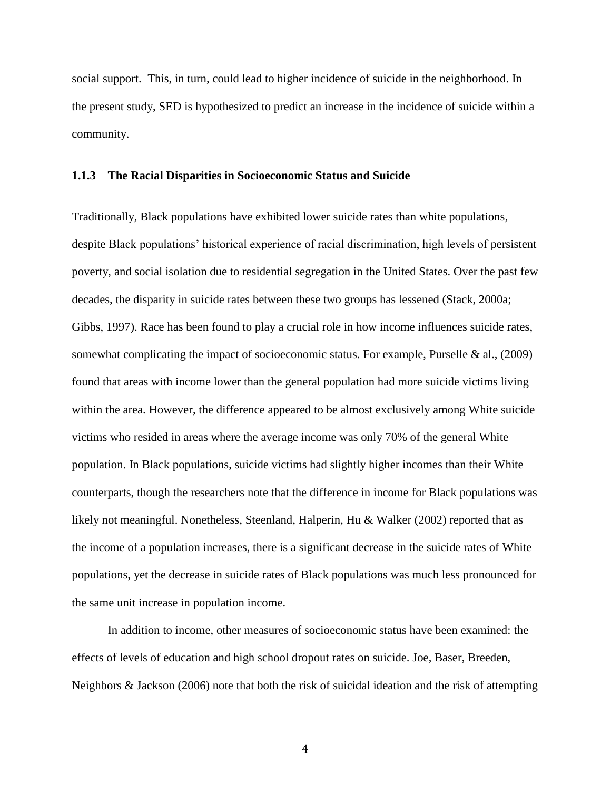<span id="page-12-0"></span>social support. This, in turn, could lead to higher incidence of suicide in the neighborhood. In the present study, SED is hypothesized to predict an increase in the incidence of suicide within a community.

#### **1.1.3 The Racial Disparities in Socioeconomic Status and Suicide**

Traditionally, Black populations have exhibited lower suicide rates than white populations, despite Black populations' historical experience of racial discrimination, high levels of persistent poverty, and social isolation due to residential segregation in the United States. Over the past few decades, the disparity in suicide rates between these two groups has lessened (Stack, 2000a; Gibbs, 1997). Race has been found to play a crucial role in how income influences suicide rates, somewhat complicating the impact of socioeconomic status. For example, Purselle & al., (2009) found that areas with income lower than the general population had more suicide victims living within the area. However, the difference appeared to be almost exclusively among White suicide victims who resided in areas where the average income was only 70% of the general White population. In Black populations, suicide victims had slightly higher incomes than their White counterparts, though the researchers note that the difference in income for Black populations was likely not meaningful. Nonetheless, Steenland, Halperin, Hu & Walker (2002) reported that as the income of a population increases, there is a significant decrease in the suicide rates of White populations, yet the decrease in suicide rates of Black populations was much less pronounced for the same unit increase in population income.

In addition to income, other measures of socioeconomic status have been examined: the effects of levels of education and high school dropout rates on suicide. Joe, Baser, Breeden, Neighbors & Jackson (2006) note that both the risk of suicidal ideation and the risk of attempting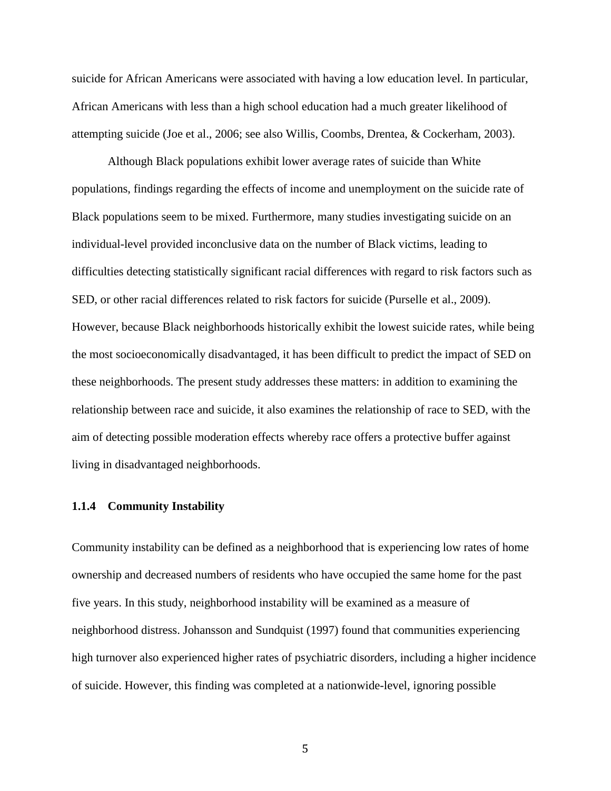<span id="page-13-0"></span>suicide for African Americans were associated with having a low education level. In particular, African Americans with less than a high school education had a much greater likelihood of attempting suicide (Joe et al., 2006; see also Willis, Coombs, Drentea, & Cockerham, 2003).

Although Black populations exhibit lower average rates of suicide than White populations, findings regarding the effects of income and unemployment on the suicide rate of Black populations seem to be mixed. Furthermore, many studies investigating suicide on an individual-level provided inconclusive data on the number of Black victims, leading to difficulties detecting statistically significant racial differences with regard to risk factors such as SED, or other racial differences related to risk factors for suicide (Purselle et al., 2009). However, because Black neighborhoods historically exhibit the lowest suicide rates, while being the most socioeconomically disadvantaged, it has been difficult to predict the impact of SED on these neighborhoods. The present study addresses these matters: in addition to examining the relationship between race and suicide, it also examines the relationship of race to SED, with the aim of detecting possible moderation effects whereby race offers a protective buffer against living in disadvantaged neighborhoods.

### **1.1.4 Community Instability**

Community instability can be defined as a neighborhood that is experiencing low rates of home ownership and decreased numbers of residents who have occupied the same home for the past five years. In this study, neighborhood instability will be examined as a measure of neighborhood distress. Johansson and Sundquist (1997) found that communities experiencing high turnover also experienced higher rates of psychiatric disorders, including a higher incidence of suicide. However, this finding was completed at a nationwide-level, ignoring possible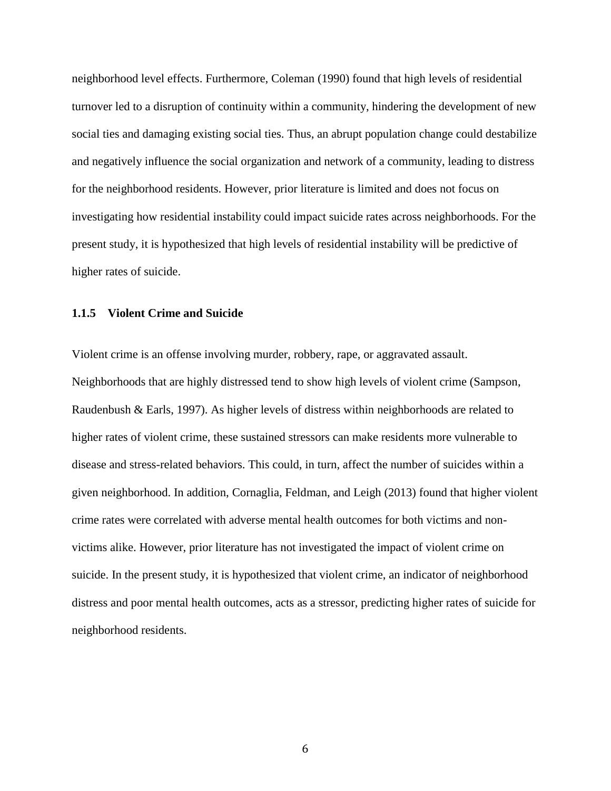<span id="page-14-0"></span>neighborhood level effects. Furthermore, Coleman (1990) found that high levels of residential turnover led to a disruption of continuity within a community, hindering the development of new social ties and damaging existing social ties. Thus, an abrupt population change could destabilize and negatively influence the social organization and network of a community, leading to distress for the neighborhood residents. However, prior literature is limited and does not focus on investigating how residential instability could impact suicide rates across neighborhoods. For the present study, it is hypothesized that high levels of residential instability will be predictive of higher rates of suicide.

#### **1.1.5 Violent Crime and Suicide**

Violent crime is an offense involving murder, robbery, rape, or aggravated assault. Neighborhoods that are highly distressed tend to show high levels of violent crime (Sampson, Raudenbush & Earls, 1997). As higher levels of distress within neighborhoods are related to higher rates of violent crime, these sustained stressors can make residents more vulnerable to disease and stress-related behaviors. This could, in turn, affect the number of suicides within a given neighborhood. In addition, Cornaglia, Feldman, and Leigh (2013) found that higher violent crime rates were correlated with adverse mental health outcomes for both victims and nonvictims alike. However, prior literature has not investigated the impact of violent crime on suicide. In the present study, it is hypothesized that violent crime, an indicator of neighborhood distress and poor mental health outcomes, acts as a stressor, predicting higher rates of suicide for neighborhood residents.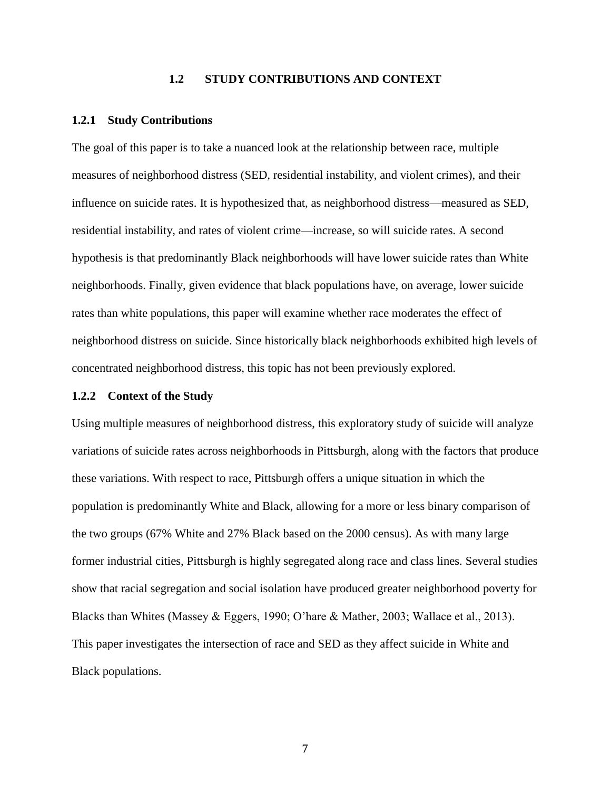# **1.2 STUDY CONTRIBUTIONS AND CONTEXT**

#### <span id="page-15-0"></span>**1.2.1 Study Contributions**

The goal of this paper is to take a nuanced look at the relationship between race, multiple measures of neighborhood distress (SED, residential instability, and violent crimes), and their influence on suicide rates. It is hypothesized that, as neighborhood distress—measured as SED, residential instability, and rates of violent crime—increase, so will suicide rates. A second hypothesis is that predominantly Black neighborhoods will have lower suicide rates than White neighborhoods. Finally, given evidence that black populations have, on average, lower suicide rates than white populations, this paper will examine whether race moderates the effect of neighborhood distress on suicide. Since historically black neighborhoods exhibited high levels of concentrated neighborhood distress, this topic has not been previously explored.

#### **1.2.2 Context of the Study**

Using multiple measures of neighborhood distress, this exploratory study of suicide will analyze variations of suicide rates across neighborhoods in Pittsburgh, along with the factors that produce these variations. With respect to race, Pittsburgh offers a unique situation in which the population is predominantly White and Black, allowing for a more or less binary comparison of the two groups (67% White and 27% Black based on the 2000 census). As with many large former industrial cities, Pittsburgh is highly segregated along race and class lines. Several studies show that racial segregation and social isolation have produced greater neighborhood poverty for Blacks than Whites (Massey & Eggers, 1990; O'hare & Mather, 2003; Wallace et al., 2013). This paper investigates the intersection of race and SED as they affect suicide in White and Black populations.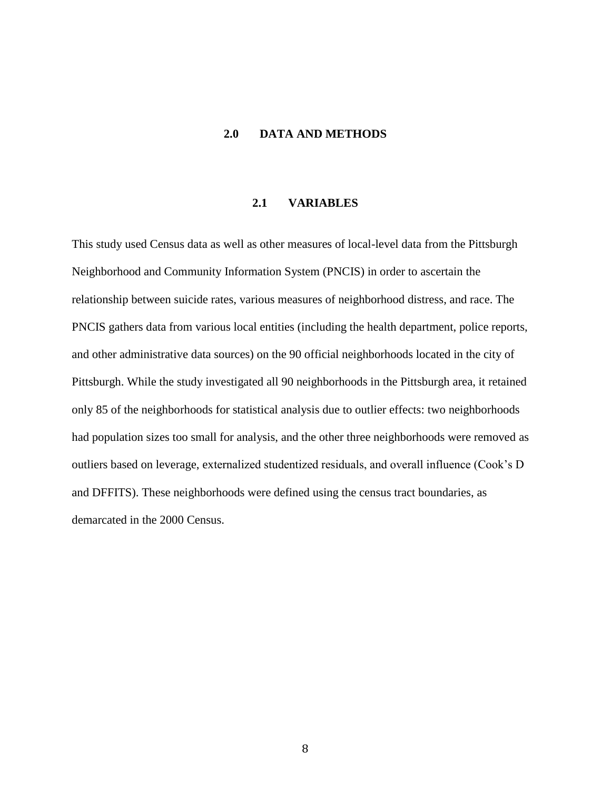# **2.0 DATA AND METHODS**

# **2.1 VARIABLES**

<span id="page-16-0"></span>This study used Census data as well as other measures of local-level data from the Pittsburgh Neighborhood and Community Information System (PNCIS) in order to ascertain the relationship between suicide rates, various measures of neighborhood distress, and race. The PNCIS gathers data from various local entities (including the health department, police reports, and other administrative data sources) on the 90 official neighborhoods located in the city of Pittsburgh. While the study investigated all 90 neighborhoods in the Pittsburgh area, it retained only 85 of the neighborhoods for statistical analysis due to outlier effects: two neighborhoods had population sizes too small for analysis, and the other three neighborhoods were removed as outliers based on leverage, externalized studentized residuals, and overall influence (Cook's D and DFFITS). These neighborhoods were defined using the census tract boundaries, as demarcated in the 2000 Census.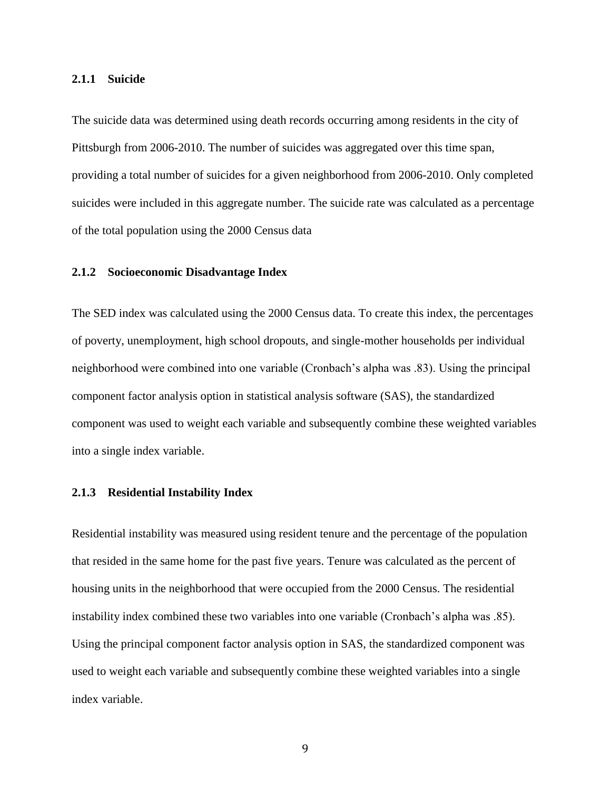#### <span id="page-17-0"></span>**2.1.1 Suicide**

The suicide data was determined using death records occurring among residents in the city of Pittsburgh from 2006-2010. The number of suicides was aggregated over this time span, providing a total number of suicides for a given neighborhood from 2006-2010. Only completed suicides were included in this aggregate number. The suicide rate was calculated as a percentage of the total population using the 2000 Census data

# **2.1.2 Socioeconomic Disadvantage Index**

The SED index was calculated using the 2000 Census data. To create this index, the percentages of poverty, unemployment, high school dropouts, and single-mother households per individual neighborhood were combined into one variable (Cronbach's alpha was .83). Using the principal component factor analysis option in statistical analysis software (SAS), the standardized component was used to weight each variable and subsequently combine these weighted variables into a single index variable.

# **2.1.3 Residential Instability Index**

Residential instability was measured using resident tenure and the percentage of the population that resided in the same home for the past five years. Tenure was calculated as the percent of housing units in the neighborhood that were occupied from the 2000 Census. The residential instability index combined these two variables into one variable (Cronbach's alpha was .85). Using the principal component factor analysis option in SAS, the standardized component was used to weight each variable and subsequently combine these weighted variables into a single index variable.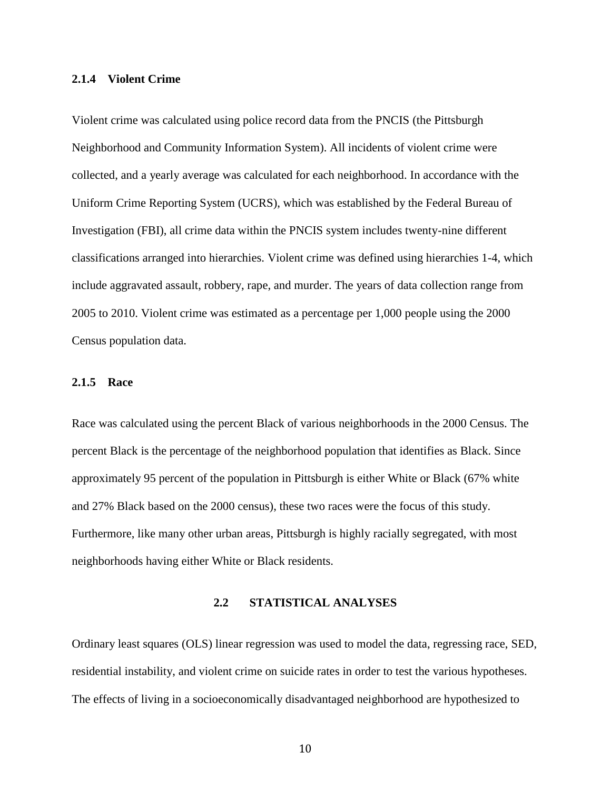### <span id="page-18-0"></span>**2.1.4 Violent Crime**

Violent crime was calculated using police record data from the PNCIS (the Pittsburgh Neighborhood and Community Information System). All incidents of violent crime were collected, and a yearly average was calculated for each neighborhood. In accordance with the Uniform Crime Reporting System (UCRS), which was established by the Federal Bureau of Investigation (FBI), all crime data within the PNCIS system includes twenty-nine different classifications arranged into hierarchies. Violent crime was defined using hierarchies 1-4, which include aggravated assault, robbery, rape, and murder. The years of data collection range from 2005 to 2010. Violent crime was estimated as a percentage per 1,000 people using the 2000 Census population data.

#### **2.1.5 Race**

Race was calculated using the percent Black of various neighborhoods in the 2000 Census. The percent Black is the percentage of the neighborhood population that identifies as Black. Since approximately 95 percent of the population in Pittsburgh is either White or Black (67% white and 27% Black based on the 2000 census), these two races were the focus of this study. Furthermore, like many other urban areas, Pittsburgh is highly racially segregated, with most neighborhoods having either White or Black residents.

### **2.2 STATISTICAL ANALYSES**

Ordinary least squares (OLS) linear regression was used to model the data, regressing race, SED, residential instability, and violent crime on suicide rates in order to test the various hypotheses. The effects of living in a socioeconomically disadvantaged neighborhood are hypothesized to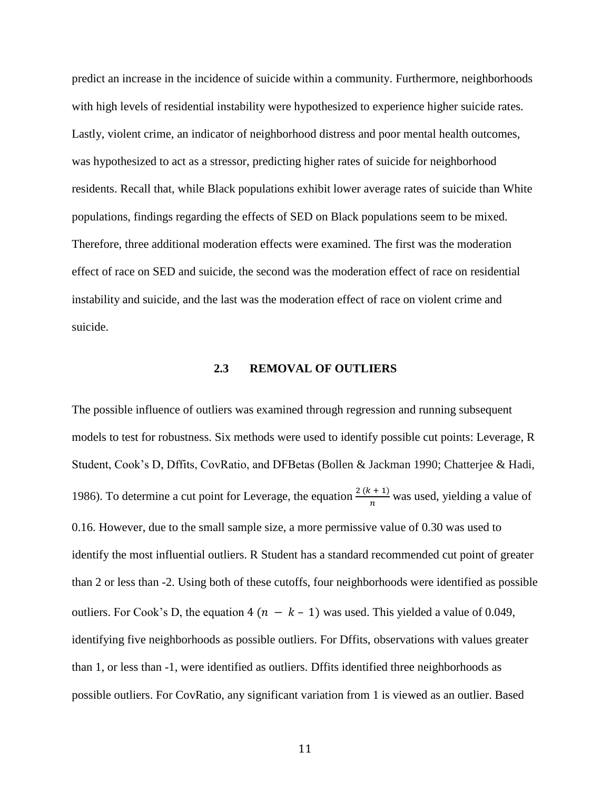<span id="page-19-0"></span>predict an increase in the incidence of suicide within a community. Furthermore, neighborhoods with high levels of residential instability were hypothesized to experience higher suicide rates. Lastly, violent crime, an indicator of neighborhood distress and poor mental health outcomes, was hypothesized to act as a stressor, predicting higher rates of suicide for neighborhood residents. Recall that, while Black populations exhibit lower average rates of suicide than White populations, findings regarding the effects of SED on Black populations seem to be mixed. Therefore, three additional moderation effects were examined. The first was the moderation effect of race on SED and suicide, the second was the moderation effect of race on residential instability and suicide, and the last was the moderation effect of race on violent crime and suicide.

# **2.3 REMOVAL OF OUTLIERS**

The possible influence of outliers was examined through regression and running subsequent models to test for robustness. Six methods were used to identify possible cut points: Leverage, R Student, Cook's D, Dffits, CovRatio, and DFBetas (Bollen & Jackman 1990; Chatterjee & Hadi, 1986). To determine a cut point for Leverage, the equation  $\frac{2(k+1)}{n}$  was used, yielding a value of 0.16. However, due to the small sample size, a more permissive value of 0.30 was used to identify the most influential outliers. R Student has a standard recommended cut point of greater than 2 or less than -2. Using both of these cutoffs, four neighborhoods were identified as possible outliers. For Cook's D, the equation 4  $(n - k - 1)$  was used. This yielded a value of 0.049, identifying five neighborhoods as possible outliers. For Dffits, observations with values greater than 1, or less than -1, were identified as outliers. Dffits identified three neighborhoods as possible outliers. For CovRatio, any significant variation from 1 is viewed as an outlier. Based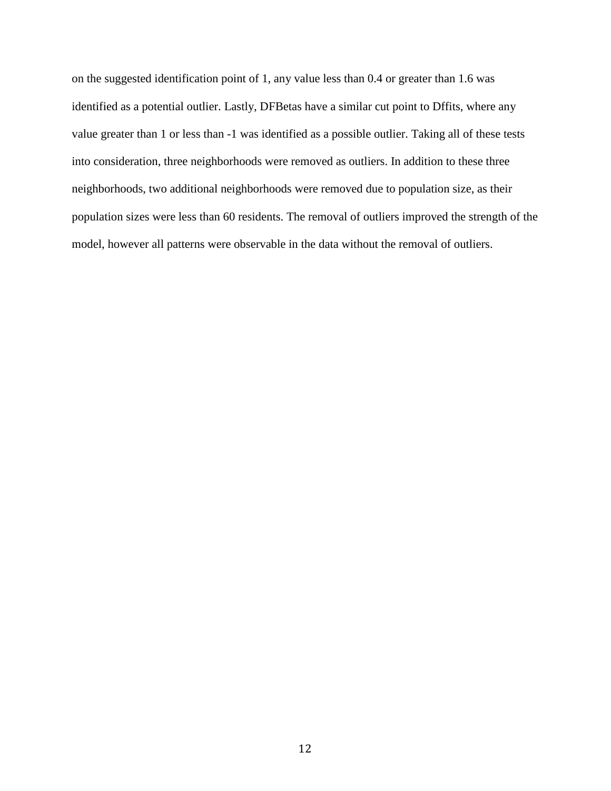on the suggested identification point of 1, any value less than 0.4 or greater than 1.6 was identified as a potential outlier. Lastly, DFBetas have a similar cut point to Dffits, where any value greater than 1 or less than -1 was identified as a possible outlier. Taking all of these tests into consideration, three neighborhoods were removed as outliers. In addition to these three neighborhoods, two additional neighborhoods were removed due to population size, as their population sizes were less than 60 residents. The removal of outliers improved the strength of the model, however all patterns were observable in the data without the removal of outliers.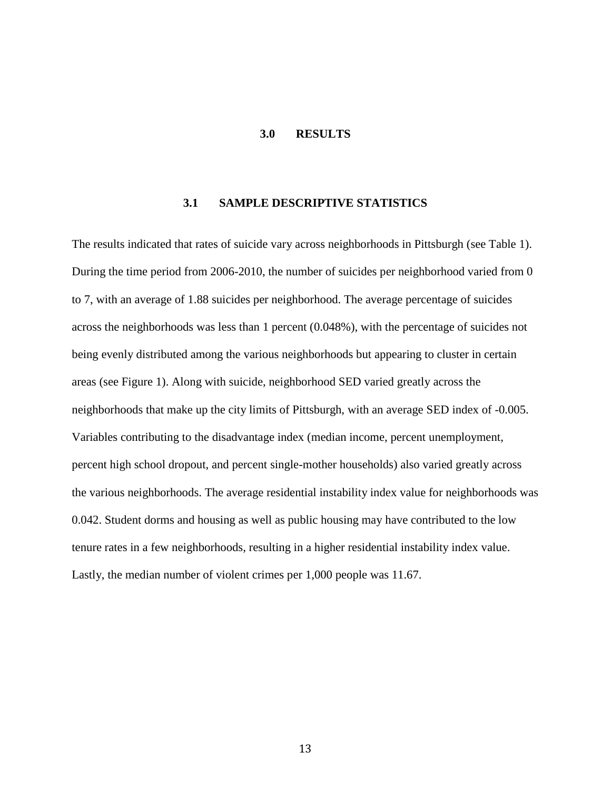# **3.0 RESULTS**

### **3.1 SAMPLE DESCRIPTIVE STATISTICS**

<span id="page-21-0"></span>The results indicated that rates of suicide vary across neighborhoods in Pittsburgh (see Table 1). During the time period from 2006-2010, the number of suicides per neighborhood varied from 0 to 7, with an average of 1.88 suicides per neighborhood. The average percentage of suicides across the neighborhoods was less than 1 percent (0.048%), with the percentage of suicides not being evenly distributed among the various neighborhoods but appearing to cluster in certain areas (see Figure 1). Along with suicide, neighborhood SED varied greatly across the neighborhoods that make up the city limits of Pittsburgh, with an average SED index of -0.005. Variables contributing to the disadvantage index (median income, percent unemployment, percent high school dropout, and percent single-mother households) also varied greatly across the various neighborhoods. The average residential instability index value for neighborhoods was 0.042. Student dorms and housing as well as public housing may have contributed to the low tenure rates in a few neighborhoods, resulting in a higher residential instability index value. Lastly, the median number of violent crimes per 1,000 people was 11.67.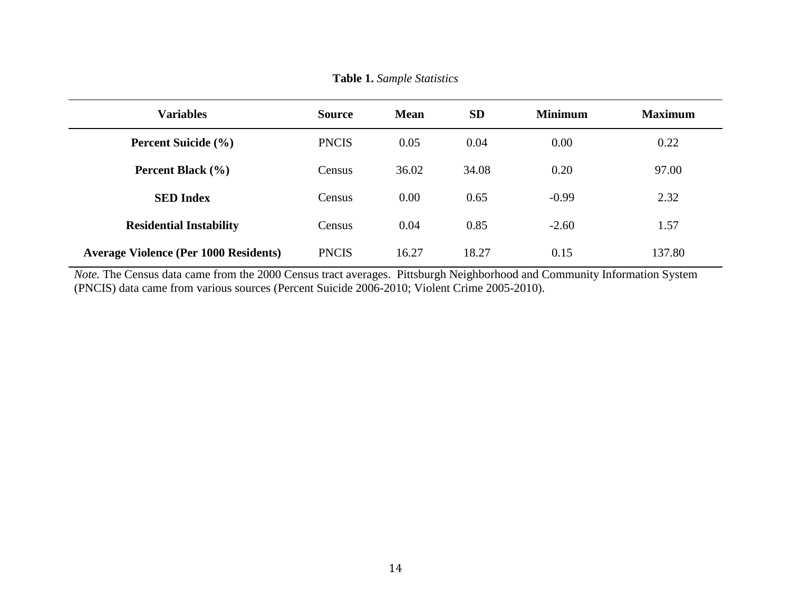<span id="page-22-0"></span>

| <b>Variables</b>                             | <b>Source</b> | <b>Mean</b> | <b>SD</b> | <b>Minimum</b> | <b>Maximum</b> |
|----------------------------------------------|---------------|-------------|-----------|----------------|----------------|
| <b>Percent Suicide (%)</b>                   | <b>PNCIS</b>  | 0.05        | 0.04      | 0.00           | 0.22           |
| Percent Black (%)                            | Census        | 36.02       | 34.08     | 0.20           | 97.00          |
| <b>SED Index</b>                             | Census        | 0.00        | 0.65      | $-0.99$        | 2.32           |
| <b>Residential Instability</b>               | Census        | 0.04        | 0.85      | $-2.60$        | 1.57           |
| <b>Average Violence (Per 1000 Residents)</b> | <b>PNCIS</b>  | 16.27       | 18.27     | 0.15           | 137.80         |

**Table 1.** *Sample Statistics*

*Note.* The Census data came from the 2000 Census tract averages. Pittsburgh Neighborhood and Community Information System (PNCIS) data came from various sources (Percent Suicide 2006-2010; Violent Crime 2005-2010).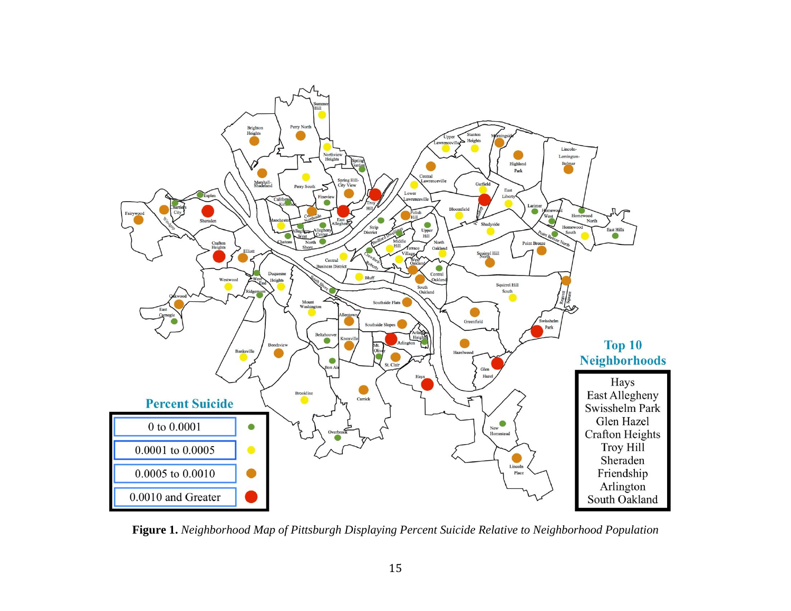<span id="page-23-0"></span>

**Figure 1.** *Neighborhood Map of Pittsburgh Displaying Percent Suicide Relative to Neighborhood Population*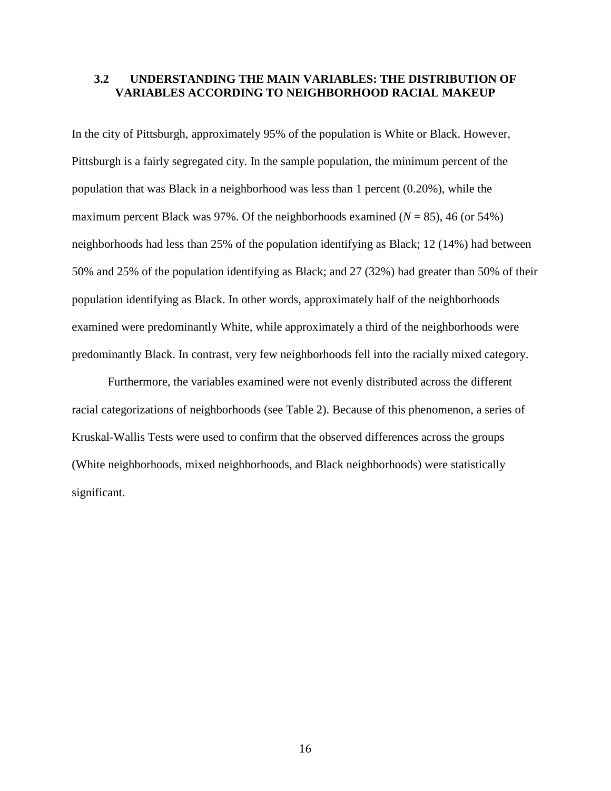# <span id="page-24-0"></span>**3.2 UNDERSTANDING THE MAIN VARIABLES: THE DISTRIBUTION OF VARIABLES ACCORDING TO NEIGHBORHOOD RACIAL MAKEUP**

In the city of Pittsburgh, approximately 95% of the population is White or Black. However, Pittsburgh is a fairly segregated city. In the sample population, the minimum percent of the population that was Black in a neighborhood was less than 1 percent (0.20%), while the maximum percent Black was 97%. Of the neighborhoods examined  $(N = 85)$ , 46 (or 54%) neighborhoods had less than 25% of the population identifying as Black; 12 (14%) had between 50% and 25% of the population identifying as Black; and 27 (32%) had greater than 50% of their population identifying as Black. In other words, approximately half of the neighborhoods examined were predominantly White, while approximately a third of the neighborhoods were predominantly Black. In contrast, very few neighborhoods fell into the racially mixed category.

Furthermore, the variables examined were not evenly distributed across the different racial categorizations of neighborhoods (see Table 2). Because of this phenomenon, a series of Kruskal-Wallis Tests were used to confirm that the observed differences across the groups (White neighborhoods, mixed neighborhoods, and Black neighborhoods) were statistically significant.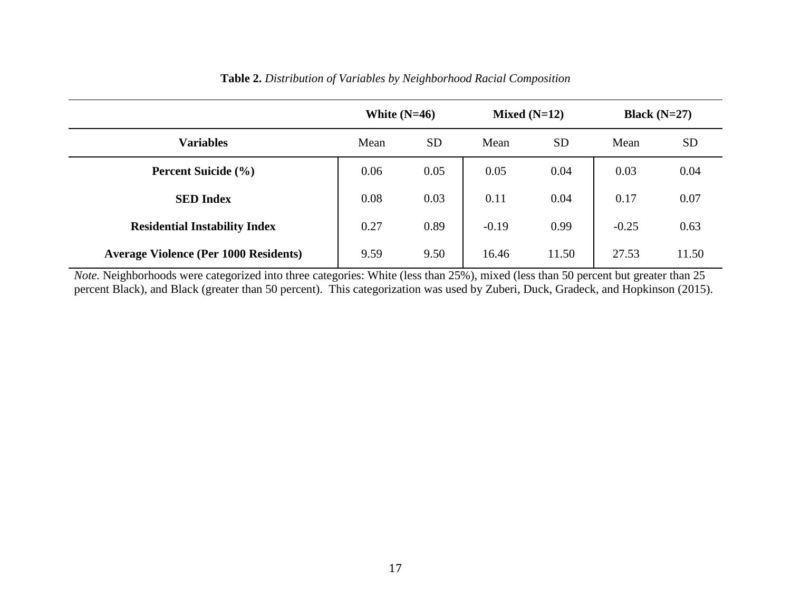<span id="page-25-0"></span>

|                                              | White $(N=46)$ |           | Mixed $(N=12)$ |           | Black $(N=27)$ |           |
|----------------------------------------------|----------------|-----------|----------------|-----------|----------------|-----------|
| <b>Variables</b>                             | Mean           | <b>SD</b> | Mean           | <b>SD</b> | Mean           | <b>SD</b> |
| <b>Percent Suicide</b> (%)                   | 0.06           | 0.05      | 0.05           | 0.04      | 0.03           | 0.04      |
| <b>SED Index</b>                             | 0.08           | 0.03      | 0.11           | 0.04      | 0.17           | 0.07      |
| <b>Residential Instability Index</b>         | 0.27           | 0.89      | $-0.19$        | 0.99      | $-0.25$        | 0.63      |
| <b>Average Violence (Per 1000 Residents)</b> | 9.59           | 9.50      | 16.46          | 11.50     | 27.53          | 11.50     |

# **Table 2.** *Distribution of Variables by Neighborhood Racial Composition*

*Note.* Neighborhoods were categorized into three categories: White (less than 25%), mixed (less than 50 percent but greater than 25 percent Black), and Black (greater than 50 percent). This categorization was used by Zuberi, Duck, Gradeck, and Hopkinson (2015).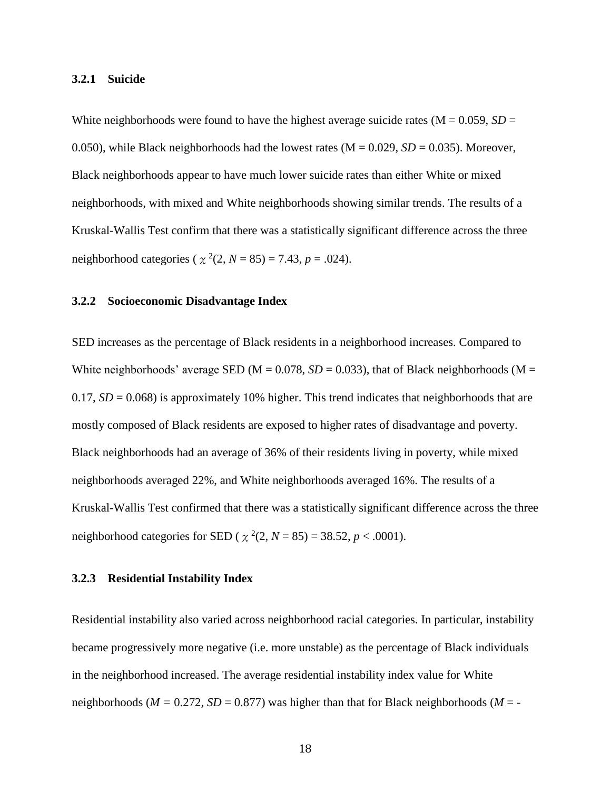#### <span id="page-26-0"></span>**3.2.1 Suicide**

White neighborhoods were found to have the highest average suicide rates ( $M = 0.059$ ,  $SD =$ 0.050), while Black neighborhoods had the lowest rates  $(M = 0.029, SD = 0.035)$ . Moreover, Black neighborhoods appear to have much lower suicide rates than either White or mixed neighborhoods, with mixed and White neighborhoods showing similar trends. The results of a Kruskal-Wallis Test confirm that there was a statistically significant difference across the three neighborhood categories ( $\chi^2(2, N = 85) = 7.43$ ,  $p = .024$ ).

### **3.2.2 Socioeconomic Disadvantage Index**

SED increases as the percentage of Black residents in a neighborhood increases. Compared to White neighborhoods' average SED ( $M = 0.078$ ,  $SD = 0.033$ ), that of Black neighborhoods ( $M =$ 0.17,  $SD = 0.068$ ) is approximately 10% higher. This trend indicates that neighborhoods that are mostly composed of Black residents are exposed to higher rates of disadvantage and poverty. Black neighborhoods had an average of 36% of their residents living in poverty, while mixed neighborhoods averaged 22%, and White neighborhoods averaged 16%. The results of a Kruskal-Wallis Test confirmed that there was a statistically significant difference across the three neighborhood categories for SED ( $\chi^2(2, N = 85) = 38.52, p < .0001$ ).

#### **3.2.3 Residential Instability Index**

Residential instability also varied across neighborhood racial categories. In particular, instability became progressively more negative (i.e. more unstable) as the percentage of Black individuals in the neighborhood increased. The average residential instability index value for White neighborhoods ( $M = 0.272$ ,  $SD = 0.877$ ) was higher than that for Black neighborhoods ( $M = -$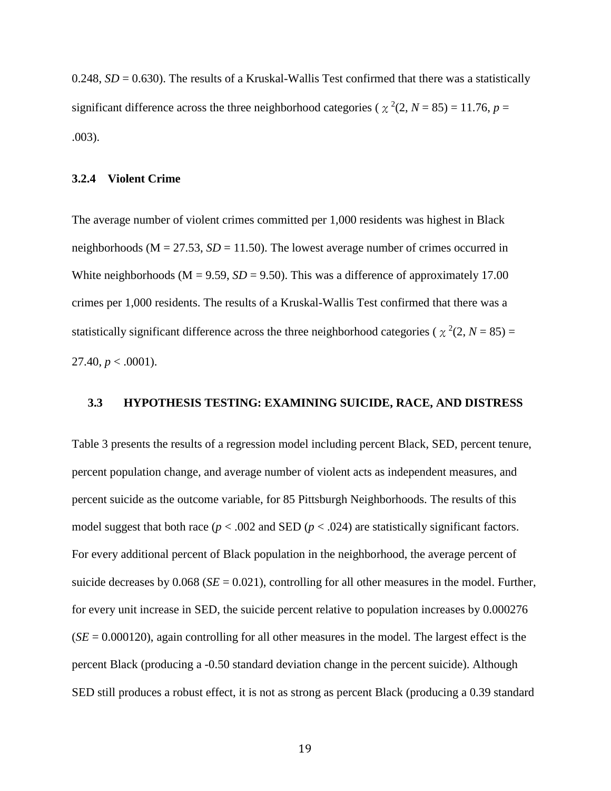<span id="page-27-0"></span>0.248,  $SD = 0.630$ ). The results of a Kruskal-Wallis Test confirmed that there was a statistically significant difference across the three neighborhood categories ( $\chi^2(2, N = 85) = 11.76$ ,  $p =$ .003).

### **3.2.4 Violent Crime**

The average number of violent crimes committed per 1,000 residents was highest in Black neighborhoods ( $M = 27.53$ ,  $SD = 11.50$ ). The lowest average number of crimes occurred in White neighborhoods ( $M = 9.59$ ,  $SD = 9.50$ ). This was a difference of approximately 17.00 crimes per 1,000 residents. The results of a Kruskal-Wallis Test confirmed that there was a statistically significant difference across the three neighborhood categories ( $\chi^2(2, N = 85)$ ) 27.40,  $p < .0001$ ).

# **3.3 HYPOTHESIS TESTING: EXAMINING SUICIDE, RACE, AND DISTRESS**

Table 3 presents the results of a regression model including percent Black, SED, percent tenure, percent population change, and average number of violent acts as independent measures, and percent suicide as the outcome variable, for 85 Pittsburgh Neighborhoods. The results of this model suggest that both race ( $p < .002$  and SED ( $p < .024$ ) are statistically significant factors. For every additional percent of Black population in the neighborhood, the average percent of suicide decreases by  $0.068$  (*SE* = 0.021), controlling for all other measures in the model. Further, for every unit increase in SED, the suicide percent relative to population increases by 0.000276  $(SE = 0.000120)$ , again controlling for all other measures in the model. The largest effect is the percent Black (producing a -0.50 standard deviation change in the percent suicide). Although SED still produces a robust effect, it is not as strong as percent Black (producing a 0.39 standard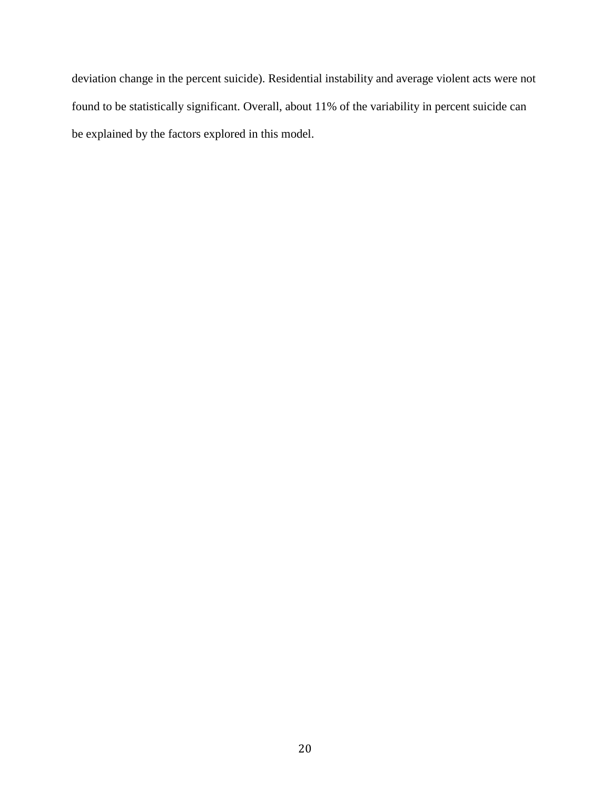deviation change in the percent suicide). Residential instability and average violent acts were not found to be statistically significant. Overall, about 11% of the variability in percent suicide can be explained by the factors explored in this model.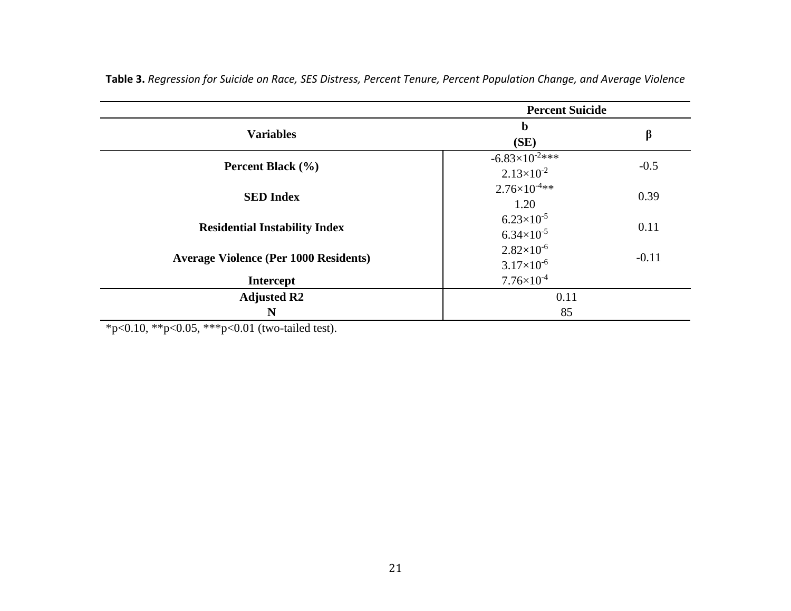| <b>Percent Suicide</b>                       |                                                |         |  |
|----------------------------------------------|------------------------------------------------|---------|--|
| <b>Variables</b>                             | $\mathbf b$<br>(SE)                            | β       |  |
| Percent Black (%)                            | $-6.83\times10^{-2***}$<br>$2.13\times10^{-2}$ | $-0.5$  |  |
| <b>SED Index</b>                             | $2.76\times10^{-4}**$<br>1.20                  | 0.39    |  |
| <b>Residential Instability Index</b>         | $6.23\times10^{-5}$<br>$6.34\times10^{-5}$     | 0.11    |  |
| <b>Average Violence (Per 1000 Residents)</b> | $2.82\times10^{-6}$<br>$3.17\times10^{-6}$     | $-0.11$ |  |
| <b>Intercept</b>                             | $7.76\times10^{-4}$                            |         |  |
| <b>Adjusted R2</b>                           | 0.11                                           |         |  |
| N                                            | 85                                             |         |  |

<span id="page-29-0"></span>**Table 3.** *Regression for Suicide on Race, SES Distress, Percent Tenure, Percent Population Change, and Average Violence*

\*p<0.10, \*\*p<0.05, \*\*\*p<0.01 (two-tailed test).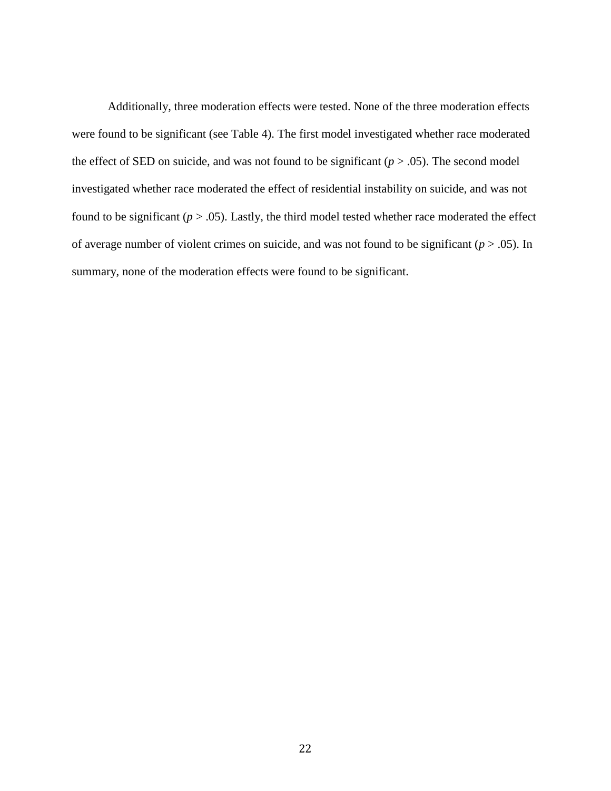Additionally, three moderation effects were tested. None of the three moderation effects were found to be significant (see Table 4). The first model investigated whether race moderated the effect of SED on suicide, and was not found to be significant  $(p > .05)$ . The second model investigated whether race moderated the effect of residential instability on suicide, and was not found to be significant  $(p > .05)$ . Lastly, the third model tested whether race moderated the effect of average number of violent crimes on suicide, and was not found to be significant ( $p > .05$ ). In summary, none of the moderation effects were found to be significant.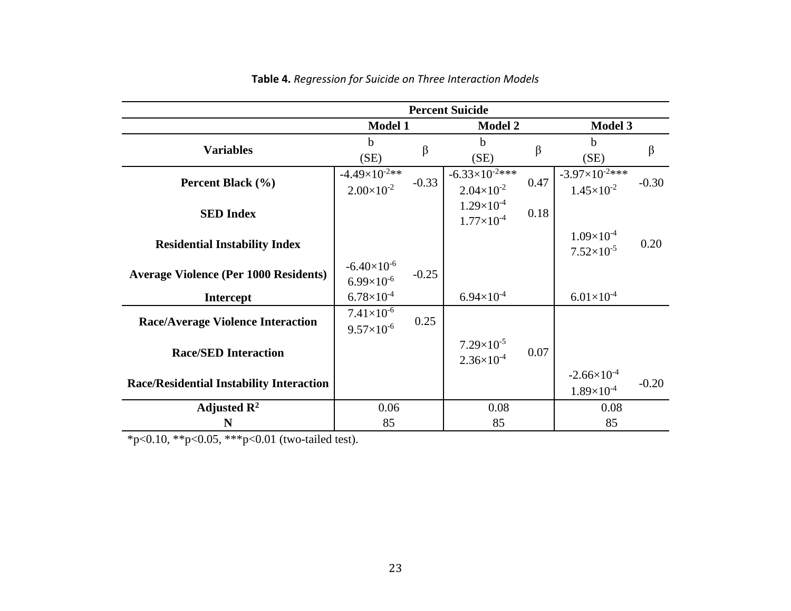<span id="page-31-0"></span>

|                                                 | <b>Percent Suicide</b> |         |                         |      |                         |         |
|-------------------------------------------------|------------------------|---------|-------------------------|------|-------------------------|---------|
|                                                 | <b>Model 1</b>         |         | <b>Model 2</b>          |      | <b>Model 3</b>          |         |
| <b>Variables</b>                                | h.                     | $\beta$ | h                       | β    | b                       | $\beta$ |
|                                                 | (SE)                   |         | (SE)                    |      | (SE)                    |         |
| Percent Black (%)                               | $-4.49\times10^{-2**}$ |         | $-6.33\times10^{-2***}$ |      | $-3.97\times10^{-2***}$ |         |
|                                                 | $2.00\times10^{-2}$    | $-0.33$ | $2.04\times10^{-2}$     | 0.47 | $1.45\times10^{-2}$     | $-0.30$ |
|                                                 |                        |         | $1.29\times10^{-4}$     |      |                         |         |
| <b>SED</b> Index                                |                        |         | $1.77\times10^{-4}$     | 0.18 |                         |         |
|                                                 |                        |         |                         |      | $1.09\times10^{-4}$     |         |
| <b>Residential Instability Index</b>            |                        |         |                         |      | $7.52\times10^{-5}$     | 0.20    |
|                                                 | $-6.40\times10^{-6}$   |         |                         |      |                         |         |
| <b>Average Violence (Per 1000 Residents)</b>    | $6.99\times10^{-6}$    | $-0.25$ |                         |      |                         |         |
| <b>Intercept</b>                                | $6.78\times10^{-4}$    |         | $6.94\times10^{-4}$     |      | $6.01\times10^{-4}$     |         |
|                                                 | $7.41\times10^{-6}$    |         |                         |      |                         |         |
| <b>Race/Average Violence Interaction</b>        | $9.57\times10^{-6}$    | 0.25    |                         |      |                         |         |
|                                                 |                        |         | $7.29\times10^{-5}$     |      |                         |         |
| <b>Race/SED Interaction</b>                     |                        |         | $2.36\times10^{-4}$     | 0.07 |                         |         |
|                                                 |                        |         |                         |      | $-2.66 \times 10^{-4}$  |         |
| <b>Race/Residential Instability Interaction</b> |                        |         |                         |      | $1.89\times10^{-4}$     | $-0.20$ |
| Adjusted $\mathbb{R}^2$                         | 0.06                   |         | 0.08                    |      | 0.08                    |         |
| N                                               | 85                     |         | 85                      |      | 85                      |         |

**Table 4.** *Regression for Suicide on Three Interaction Models*

\*p<0.10, \*\*p<0.05, \*\*\*p<0.01 (two-tailed test).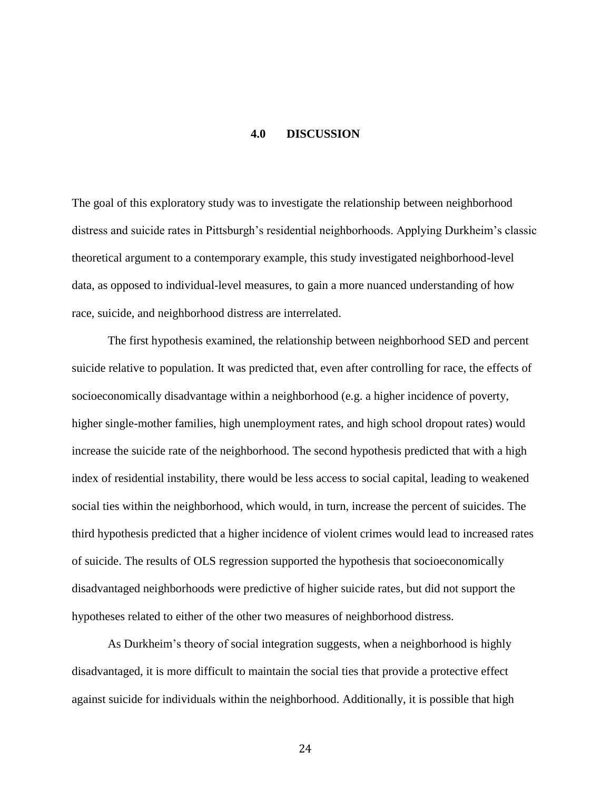# **4.0 DISCUSSION**

<span id="page-32-0"></span>The goal of this exploratory study was to investigate the relationship between neighborhood distress and suicide rates in Pittsburgh's residential neighborhoods. Applying Durkheim's classic theoretical argument to a contemporary example, this study investigated neighborhood-level data, as opposed to individual-level measures, to gain a more nuanced understanding of how race, suicide, and neighborhood distress are interrelated.

The first hypothesis examined, the relationship between neighborhood SED and percent suicide relative to population. It was predicted that, even after controlling for race, the effects of socioeconomically disadvantage within a neighborhood (e.g. a higher incidence of poverty, higher single-mother families, high unemployment rates, and high school dropout rates) would increase the suicide rate of the neighborhood. The second hypothesis predicted that with a high index of residential instability, there would be less access to social capital, leading to weakened social ties within the neighborhood, which would, in turn, increase the percent of suicides. The third hypothesis predicted that a higher incidence of violent crimes would lead to increased rates of suicide. The results of OLS regression supported the hypothesis that socioeconomically disadvantaged neighborhoods were predictive of higher suicide rates, but did not support the hypotheses related to either of the other two measures of neighborhood distress.

As Durkheim's theory of social integration suggests, when a neighborhood is highly disadvantaged, it is more difficult to maintain the social ties that provide a protective effect against suicide for individuals within the neighborhood. Additionally, it is possible that high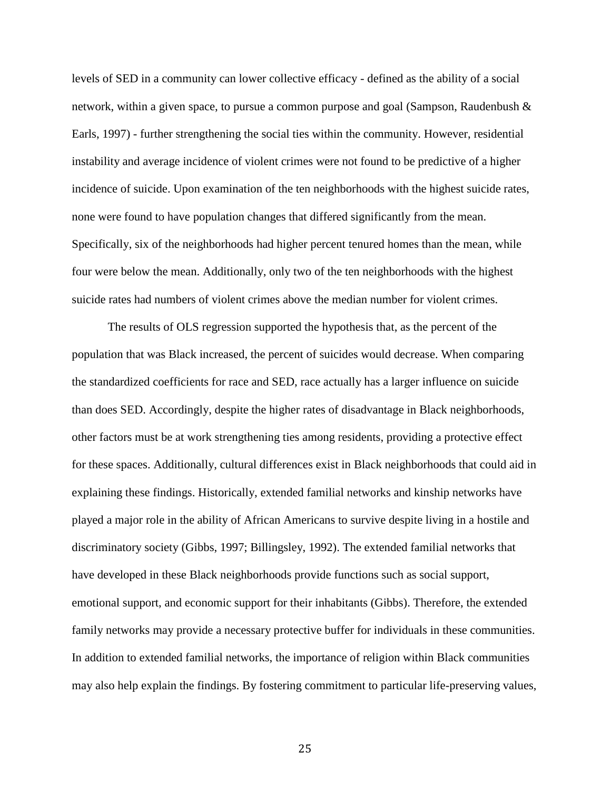levels of SED in a community can lower collective efficacy - defined as the ability of a social network, within a given space, to pursue a common purpose and goal (Sampson, Raudenbush & Earls, 1997) - further strengthening the social ties within the community. However, residential instability and average incidence of violent crimes were not found to be predictive of a higher incidence of suicide. Upon examination of the ten neighborhoods with the highest suicide rates, none were found to have population changes that differed significantly from the mean. Specifically, six of the neighborhoods had higher percent tenured homes than the mean, while four were below the mean. Additionally, only two of the ten neighborhoods with the highest suicide rates had numbers of violent crimes above the median number for violent crimes.

The results of OLS regression supported the hypothesis that, as the percent of the population that was Black increased, the percent of suicides would decrease. When comparing the standardized coefficients for race and SED, race actually has a larger influence on suicide than does SED. Accordingly, despite the higher rates of disadvantage in Black neighborhoods, other factors must be at work strengthening ties among residents, providing a protective effect for these spaces. Additionally, cultural differences exist in Black neighborhoods that could aid in explaining these findings. Historically, extended familial networks and kinship networks have played a major role in the ability of African Americans to survive despite living in a hostile and discriminatory society (Gibbs, 1997; Billingsley, 1992). The extended familial networks that have developed in these Black neighborhoods provide functions such as social support, emotional support, and economic support for their inhabitants (Gibbs). Therefore, the extended family networks may provide a necessary protective buffer for individuals in these communities. In addition to extended familial networks, the importance of religion within Black communities may also help explain the findings. By fostering commitment to particular life-preserving values,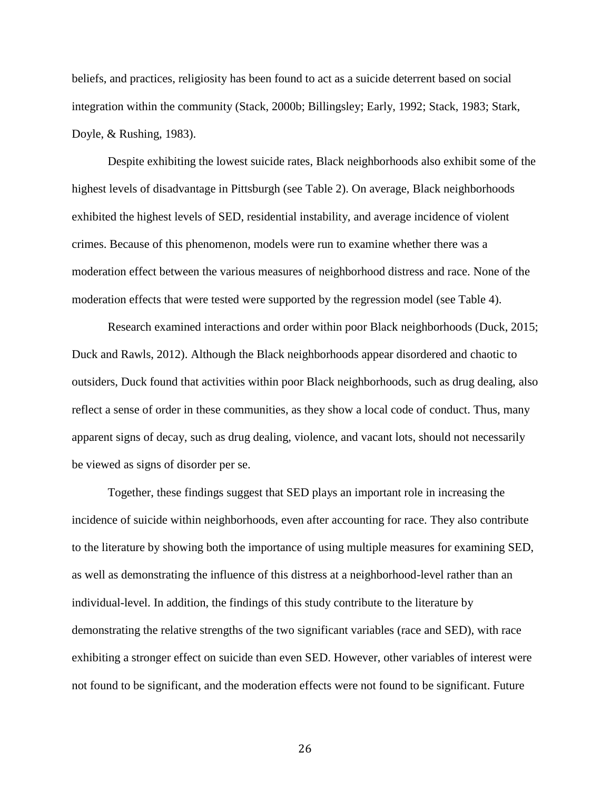beliefs, and practices, religiosity has been found to act as a suicide deterrent based on social integration within the community (Stack, 2000b; Billingsley; Early, 1992; Stack, 1983; Stark, Doyle, & Rushing, 1983).

Despite exhibiting the lowest suicide rates, Black neighborhoods also exhibit some of the highest levels of disadvantage in Pittsburgh (see Table 2). On average, Black neighborhoods exhibited the highest levels of SED, residential instability, and average incidence of violent crimes. Because of this phenomenon, models were run to examine whether there was a moderation effect between the various measures of neighborhood distress and race. None of the moderation effects that were tested were supported by the regression model (see Table 4).

Research examined interactions and order within poor Black neighborhoods (Duck, 2015; Duck and Rawls, 2012). Although the Black neighborhoods appear disordered and chaotic to outsiders, Duck found that activities within poor Black neighborhoods, such as drug dealing, also reflect a sense of order in these communities, as they show a local code of conduct. Thus, many apparent signs of decay, such as drug dealing, violence, and vacant lots, should not necessarily be viewed as signs of disorder per se.

Together, these findings suggest that SED plays an important role in increasing the incidence of suicide within neighborhoods, even after accounting for race. They also contribute to the literature by showing both the importance of using multiple measures for examining SED, as well as demonstrating the influence of this distress at a neighborhood-level rather than an individual-level. In addition, the findings of this study contribute to the literature by demonstrating the relative strengths of the two significant variables (race and SED), with race exhibiting a stronger effect on suicide than even SED. However, other variables of interest were not found to be significant, and the moderation effects were not found to be significant. Future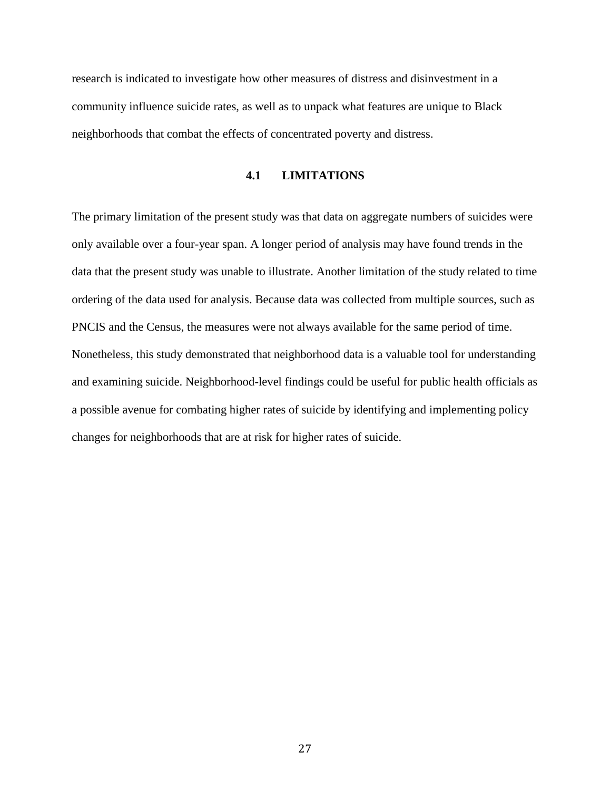<span id="page-35-0"></span>research is indicated to investigate how other measures of distress and disinvestment in a community influence suicide rates, as well as to unpack what features are unique to Black neighborhoods that combat the effects of concentrated poverty and distress.

# **4.1 LIMITATIONS**

The primary limitation of the present study was that data on aggregate numbers of suicides were only available over a four-year span. A longer period of analysis may have found trends in the data that the present study was unable to illustrate. Another limitation of the study related to time ordering of the data used for analysis. Because data was collected from multiple sources, such as PNCIS and the Census, the measures were not always available for the same period of time. Nonetheless, this study demonstrated that neighborhood data is a valuable tool for understanding and examining suicide. Neighborhood-level findings could be useful for public health officials as a possible avenue for combating higher rates of suicide by identifying and implementing policy changes for neighborhoods that are at risk for higher rates of suicide.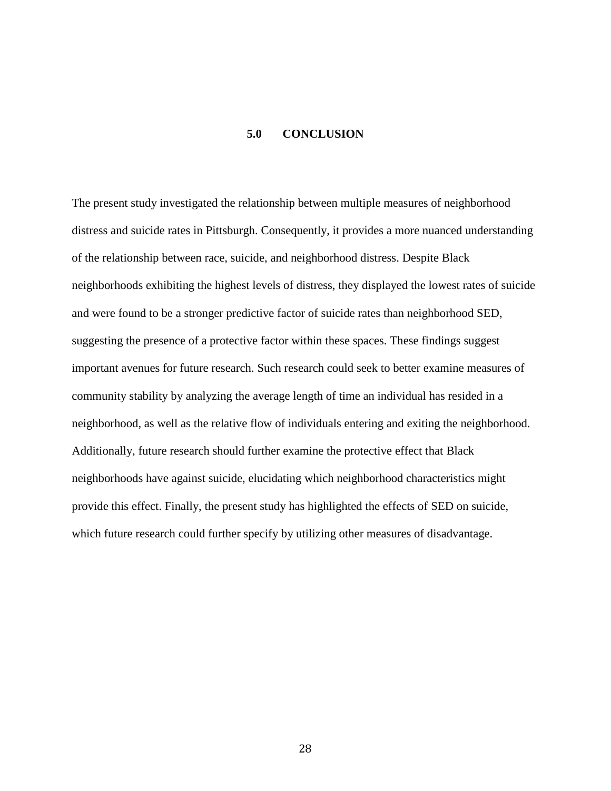# **5.0 CONCLUSION**

<span id="page-36-0"></span>The present study investigated the relationship between multiple measures of neighborhood distress and suicide rates in Pittsburgh. Consequently, it provides a more nuanced understanding of the relationship between race, suicide, and neighborhood distress. Despite Black neighborhoods exhibiting the highest levels of distress, they displayed the lowest rates of suicide and were found to be a stronger predictive factor of suicide rates than neighborhood SED, suggesting the presence of a protective factor within these spaces. These findings suggest important avenues for future research. Such research could seek to better examine measures of community stability by analyzing the average length of time an individual has resided in a neighborhood, as well as the relative flow of individuals entering and exiting the neighborhood. Additionally, future research should further examine the protective effect that Black neighborhoods have against suicide, elucidating which neighborhood characteristics might provide this effect. Finally, the present study has highlighted the effects of SED on suicide, which future research could further specify by utilizing other measures of disadvantage.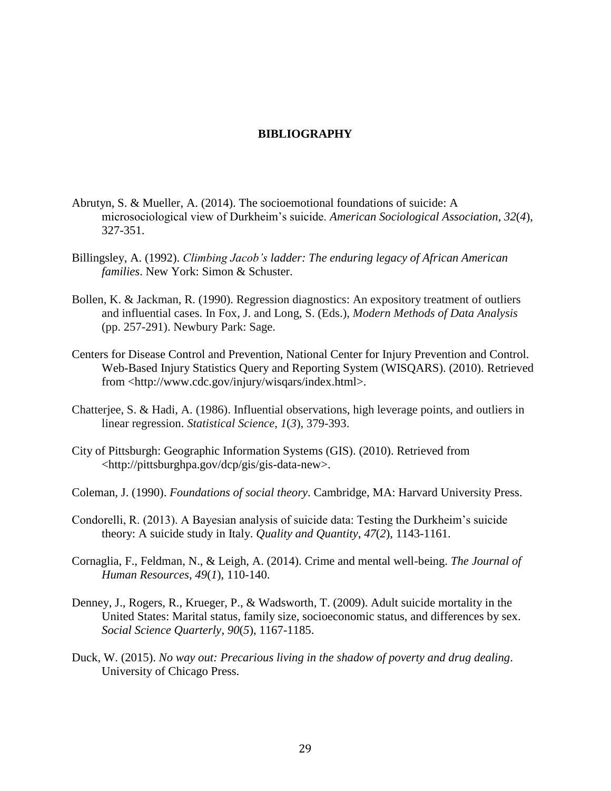# **BIBLIOGRAPHY**

- <span id="page-37-0"></span>Abrutyn, S. & Mueller, A. (2014). The socioemotional foundations of suicide: A microsociological view of Durkheim's suicide. *American Sociological Association*, *32*(*4*), 327-351.
- Billingsley, A. (1992). *Climbing Jacob's ladder: The enduring legacy of African American families*. New York: Simon & Schuster.
- Bollen, K. & Jackman, R. (1990). Regression diagnostics: An expository treatment of outliers and influential cases. In Fox, J. and Long, S. (Eds.), *Modern Methods of Data Analysis* (pp. 257-291). Newbury Park: Sage.
- Centers for Disease Control and Prevention, National Center for Injury Prevention and Control. Web-Based Injury Statistics Query and Reporting System (WISQARS). (2010). Retrieved from <http://www.cdc.gov/injury/wisqars/index.html>.
- Chatterjee, S. & Hadi, A. (1986). Influential observations, high leverage points, and outliers in linear regression. *Statistical Science*, *1*(*3*), 379-393.
- City of Pittsburgh: Geographic Information Systems (GIS). (2010). Retrieved from <http://pittsburghpa.gov/dcp/gis/gis-data-new>.
- Coleman, J. (1990). *Foundations of social theory*. Cambridge, MA: Harvard University Press.
- Condorelli, R. (2013). A Bayesian analysis of suicide data: Testing the Durkheim's suicide theory: A suicide study in Italy. *Quality and Quantity*, *47*(*2*), 1143-1161.
- Cornaglia, F., Feldman, N., & Leigh, A. (2014). Crime and mental well-being. *The Journal of Human Resources*, *49*(*1*), 110-140.
- Denney, J., Rogers, R., Krueger, P., & Wadsworth, T. (2009). Adult suicide mortality in the United States: Marital status, family size, socioeconomic status, and differences by sex. *Social Science Quarterly*, *90*(*5*), 1167-1185.
- Duck, W. (2015). *No way out: Precarious living in the shadow of poverty and drug dealing*. University of Chicago Press.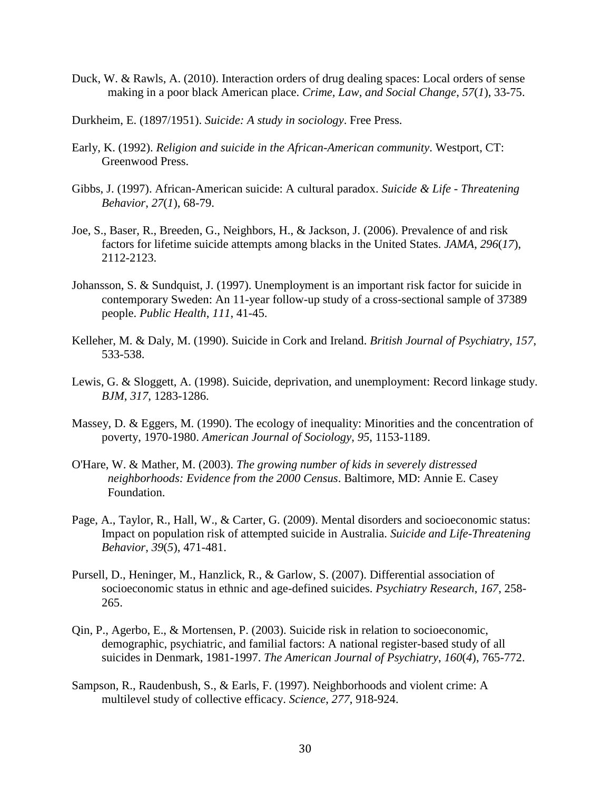- Duck, W. & Rawls, A. (2010). Interaction orders of drug dealing spaces: Local orders of sense making in a poor black American place. *Crime, Law, and Social Change*, *57*(*1*), 33-75.
- Durkheim, E. (1897/1951). *Suicide: A study in sociology*. Free Press.
- Early, K. (1992). *Religion and suicide in the African-American community*. Westport, CT: Greenwood Press.
- Gibbs, J. (1997). African-American suicide: A cultural paradox. *Suicide & Life - Threatening Behavior*, *27*(*1*), 68-79.
- Joe, S., Baser, R., Breeden, G., Neighbors, H., & Jackson, J. (2006). Prevalence of and risk factors for lifetime suicide attempts among blacks in the United States. *JAMA*, *296*(*17*), 2112-2123.
- Johansson, S. & Sundquist, J. (1997). Unemployment is an important risk factor for suicide in contemporary Sweden: An 11-year follow-up study of a cross-sectional sample of 37389 people. *Public Health*, *111*, 41-45.
- Kelleher, M. & Daly, M. (1990). Suicide in Cork and Ireland. *British Journal of Psychiatry*, *157*, 533-538.
- Lewis, G. & Sloggett, A. (1998). Suicide, deprivation, and unemployment: Record linkage study. *BJM*, *317*, 1283-1286.
- Massey, D. & Eggers, M. (1990). The ecology of inequality: Minorities and the concentration of poverty, 1970-1980. *American Journal of Sociology*, *95*, 1153-1189.
- O'Hare, W. & Mather, M. (2003). *The growing number of kids in severely distressed neighborhoods: Evidence from the 2000 Census*. Baltimore, MD: Annie E. Casey Foundation.
- Page, A., Taylor, R., Hall, W., & Carter, G. (2009). Mental disorders and socioeconomic status: Impact on population risk of attempted suicide in Australia. *Suicide and Life-Threatening Behavior*, *39*(*5*), 471-481.
- Pursell, D., Heninger, M., Hanzlick, R., & Garlow, S. (2007). Differential association of socioeconomic status in ethnic and age-defined suicides. *Psychiatry Research*, *167*, 258- 265.
- Qin, P., Agerbo, E., & Mortensen, P. (2003). Suicide risk in relation to socioeconomic, demographic, psychiatric, and familial factors: A national register-based study of all suicides in Denmark, 1981-1997. *The American Journal of Psychiatry*, *160*(*4*), 765-772.
- Sampson, R., Raudenbush, S., & Earls, F. (1997). Neighborhoods and violent crime: A multilevel study of collective efficacy. *Science*, *277*, 918-924.